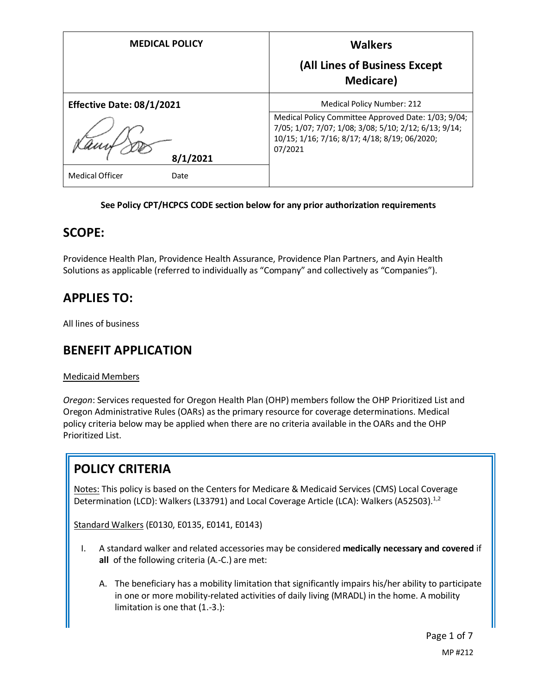| <b>MEDICAL POLICY</b>            | <b>Walkers</b><br>(All Lines of Business Except<br><b>Medicare</b> )                                                                              |
|----------------------------------|---------------------------------------------------------------------------------------------------------------------------------------------------|
| <b>Effective Date: 08/1/2021</b> | <b>Medical Policy Number: 212</b><br>Medical Policy Committee Approved Date: 1/03; 9/04;<br>7/05; 1/07; 7/07; 1/08; 3/08; 5/10; 2/12; 6/13; 9/14; |
| 8/1/2021                         | 10/15; 1/16; 7/16; 8/17; 4/18; 8/19; 06/2020;<br>07/2021                                                                                          |
| <b>Medical Officer</b><br>Date   |                                                                                                                                                   |

### **See Policy CPT/HCPCS CODE section below for any prior authorization requirements**

### **SCOPE:**

Providence Health Plan, Providence Health Assurance, Providence Plan Partners, and Ayin Health Solutions as applicable (referred to individually as "Company" and collectively as "Companies").

# **APPLIES TO:**

All lines of business

# **BENEFIT APPLICATION**

### Medicaid Members

*Oregon*: Services requested for Oregon Health Plan (OHP) members follow the OHP Prioritized List and Oregon Administrative Rules (OARs) as the primary resource for coverage determinations. Medical policy criteria below may be applied when there are no criteria available in the OARs and the OHP Prioritized List.

# **POLICY CRITERIA**

Notes: This policy is based on the Centers for Medicare & Medicaid Services (CMS) Local Coverage Determination (LCD): Walkers (L33791) and Local Coverage Article (LCA): Walkers (A52503).<sup>1,2</sup>

Standard Walkers (E0130, E0135, E0141, E0143)

- I. A standard walker and related accessories may be considered **medically necessary and covered** if **all** of the following criteria (A.-C.) are met:
	- A. The beneficiary has a mobility limitation that significantly impairs his/her ability to participate in one or more mobility-related activities of daily living (MRADL) in the home. A mobility limitation is one that (1.-3.):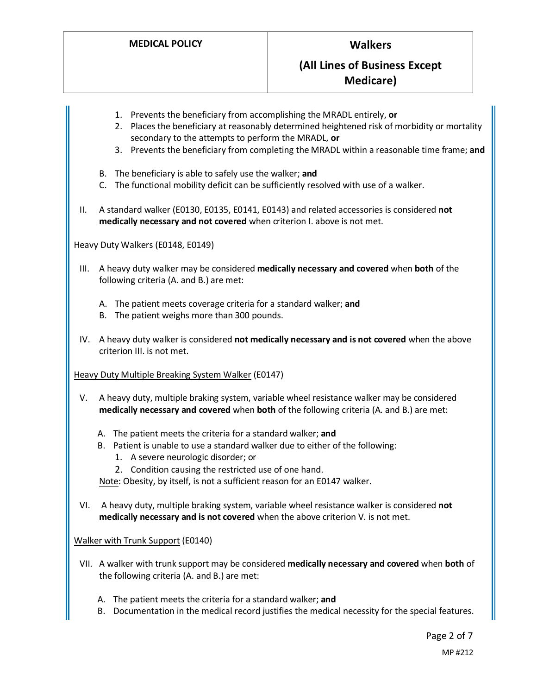- 1. Prevents the beneficiary from accomplishing the MRADL entirely, **or**
- 2. Places the beneficiary at reasonably determined heightened risk of morbidity or mortality secondary to the attempts to perform the MRADL, **or**
- 3. Prevents the beneficiary from completing the MRADL within a reasonable time frame; **and**
- B. The beneficiary is able to safely use the walker; **and**
- C. The functional mobility deficit can be sufficiently resolved with use of a walker.
- II. A standard walker (E0130, E0135, E0141, E0143) and related accessories is considered **not medically necessary and not covered** when criterion I. above is not met.

#### Heavy Duty Walkers (E0148, E0149)

- III. A heavy duty walker may be considered **medically necessary and covered** when **both** of the following criteria (A. and B.) are met:
	- A. The patient meets coverage criteria for a standard walker; **and**
	- B. The patient weighs more than 300 pounds.
- IV. A heavy duty walker is considered **not medically necessary and is not covered** when the above criterion III. is not met.

#### Heavy Duty Multiple Breaking System Walker (E0147)

- V. A heavy duty, multiple braking system, variable wheel resistance walker may be considered **medically necessary and covered** when **both** of the following criteria (A. and B.) are met:
	- A. The patient meets the criteria for a standard walker; **and**
	- B. Patient is unable to use a standard walker due to either of the following:
		- 1. A severe neurologic disorder; or
		- 2. Condition causing the restricted use of one hand.

Note: Obesity, by itself, is not a sufficient reason for an E0147 walker.

VI. A heavy duty, multiple braking system, variable wheel resistance walker is considered **not medically necessary and is not covered** when the above criterion V. is not met.

#### Walker with Trunk Support (E0140)

- VII. A walker with trunk support may be considered **medically necessary and covered** when **both** of the following criteria (A. and B.) are met:
	- A. The patient meets the criteria for a standard walker; **and**
	- B. Documentation in the medical record justifies the medical necessity for the special features.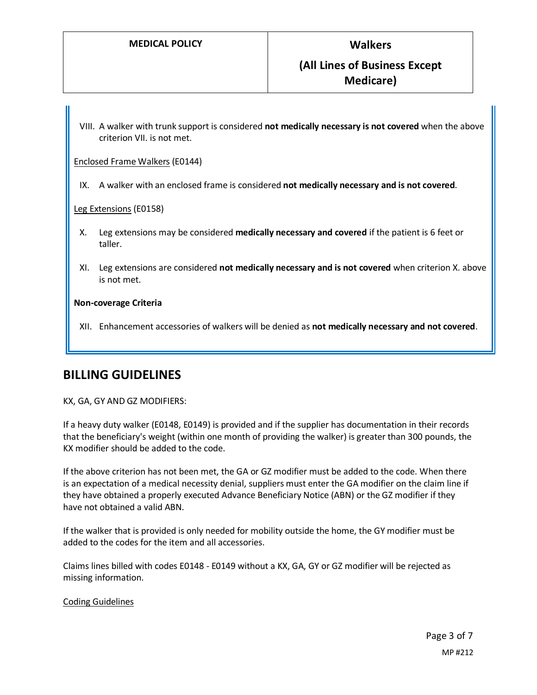VIII. A walker with trunk support is considered **not medically necessary is not covered** when the above criterion VII. is not met.

Enclosed Frame Walkers (E0144)

IX. A walker with an enclosed frame is considered **not medically necessary and is not covered**.

Leg Extensions (E0158)

- X. Leg extensions may be considered **medically necessary and covered** if the patient is 6 feet or taller.
- XI. Leg extensions are considered **not medically necessary and is not covered** when criterion X. above is not met.

#### **Non-coverage Criteria**

XII. Enhancement accessories of walkers will be denied as **not medically necessary and not covered**.

### **BILLING GUIDELINES**

#### KX, GA, GY AND GZ MODIFIERS:

If a heavy duty walker (E0148, E0149) is provided and if the supplier has documentation in their records that the beneficiary's weight (within one month of providing the walker) is greater than 300 pounds, the KX modifier should be added to the code.

If the above criterion has not been met, the GA or GZ modifier must be added to the code. When there is an expectation of a medical necessity denial, suppliers must enter the GA modifier on the claim line if they have obtained a properly executed Advance Beneficiary Notice (ABN) or the GZ modifier if they have not obtained a valid ABN.

If the walker that is provided is only needed for mobility outside the home, the GY modifier must be added to the codes for the item and all accessories.

Claims lines billed with codes E0148 - E0149 without a KX, GA, GY or GZ modifier will be rejected as missing information.

#### Coding Guidelines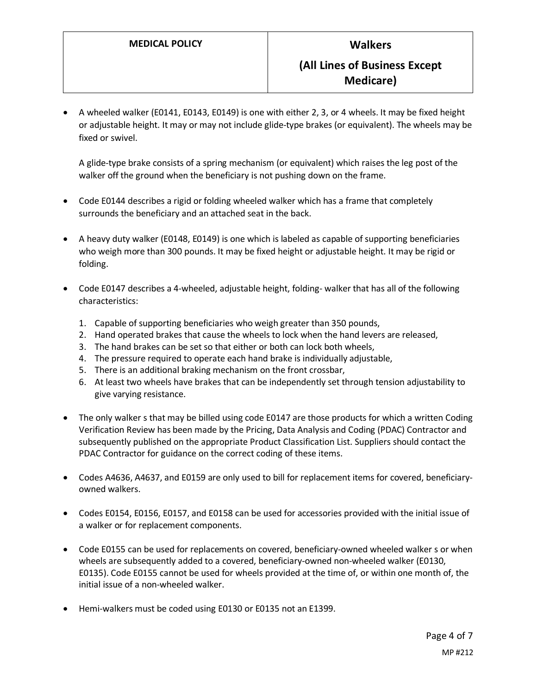• A wheeled walker (E0141, E0143, E0149) is one with either 2, 3, or 4 wheels. It may be fixed height or adjustable height. It may or may not include glide-type brakes (or equivalent). The wheels may be fixed or swivel.

A glide-type brake consists of a spring mechanism (or equivalent) which raises the leg post of the walker off the ground when the beneficiary is not pushing down on the frame.

- Code E0144 describes a rigid or folding wheeled walker which has a frame that completely surrounds the beneficiary and an attached seat in the back.
- A heavy duty walker (E0148, E0149) is one which is labeled as capable of supporting beneficiaries who weigh more than 300 pounds. It may be fixed height or adjustable height. It may be rigid or folding.
- Code E0147 describes a 4-wheeled, adjustable height, folding- walker that has all of the following characteristics:
	- 1. Capable of supporting beneficiaries who weigh greater than 350 pounds,
	- 2. Hand operated brakes that cause the wheels to lock when the hand levers are released,
	- 3. The hand brakes can be set so that either or both can lock both wheels,
	- 4. The pressure required to operate each hand brake is individually adjustable,
	- 5. There is an additional braking mechanism on the front crossbar,
	- 6. At least two wheels have brakes that can be independently set through tension adjustability to give varying resistance.
- The only walker s that may be billed using code E0147 are those products for which a written Coding Verification Review has been made by the Pricing, Data Analysis and Coding (PDAC) Contractor and subsequently published on the appropriate Product Classification List. Suppliers should contact the PDAC Contractor for guidance on the correct coding of these items.
- Codes A4636, A4637, and E0159 are only used to bill for replacement items for covered, beneficiaryowned walkers.
- Codes E0154, E0156, E0157, and E0158 can be used for accessories provided with the initial issue of a walker or for replacement components.
- Code E0155 can be used for replacements on covered, beneficiary-owned wheeled walker s or when wheels are subsequently added to a covered, beneficiary-owned non-wheeled walker (E0130, E0135). Code E0155 cannot be used for wheels provided at the time of, or within one month of, the initial issue of a non-wheeled walker.
- Hemi-walkers must be coded using E0130 or E0135 not an E1399.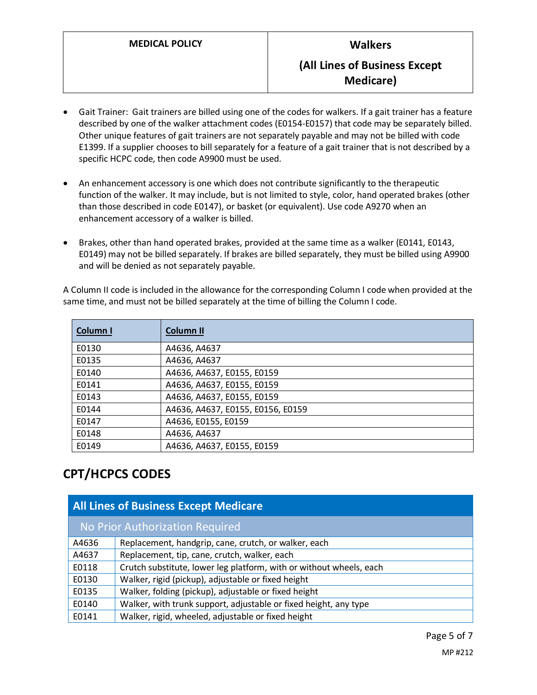- Gait Trainer: Gait trainers are billed using one of the codes for walkers. If a gait trainer has a feature described by one of the walker attachment codes (E0154-E0157) that code may be separately billed. Other unique features of gait trainers are not separately payable and may not be billed with code E1399. If a supplier chooses to bill separately for a feature of a gait trainer that is not described by a specific HCPC code, then code A9900 must be used.
- An enhancement accessory is one which does not contribute significantly to the therapeutic function of the walker. It may include, but is not limited to style, color, hand operated brakes (other than those described in code E0147), or basket (or equivalent). Use code A9270 when an enhancement accessory of a walker is billed.
- Brakes, other than hand operated brakes, provided at the same time as a walker (E0141, E0143, E0149) may not be billed separately. If brakes are billed separately, they must be billed using A9900 and will be denied as not separately payable.

A Column II code is included in the allowance for the corresponding Column I code when provided at the same time, and must not be billed separately at the time of billing the Column I code.

| Column I | <b>Column II</b>                  |
|----------|-----------------------------------|
| E0130    | A4636, A4637                      |
| E0135    | A4636, A4637                      |
| E0140    | A4636, A4637, E0155, E0159        |
| E0141    | A4636, A4637, E0155, E0159        |
| E0143    | A4636, A4637, E0155, E0159        |
| E0144    | A4636, A4637, E0155, E0156, E0159 |
| E0147    | A4636, E0155, E0159               |
| E0148    | A4636, A4637                      |
| E0149    | A4636, A4637, E0155, E0159        |

# **CPT/HCPCS CODES**

| <b>All Lines of Business Except Medicare</b> |                                                                     |  |
|----------------------------------------------|---------------------------------------------------------------------|--|
| No Prior Authorization Required              |                                                                     |  |
| A4636                                        | Replacement, handgrip, cane, crutch, or walker, each                |  |
| A4637                                        | Replacement, tip, cane, crutch, walker, each                        |  |
| E0118                                        | Crutch substitute, lower leg platform, with or without wheels, each |  |
| E0130                                        | Walker, rigid (pickup), adjustable or fixed height                  |  |
| E0135                                        | Walker, folding (pickup), adjustable or fixed height                |  |
| E0140                                        | Walker, with trunk support, adjustable or fixed height, any type    |  |
| E0141                                        | Walker, rigid, wheeled, adjustable or fixed height                  |  |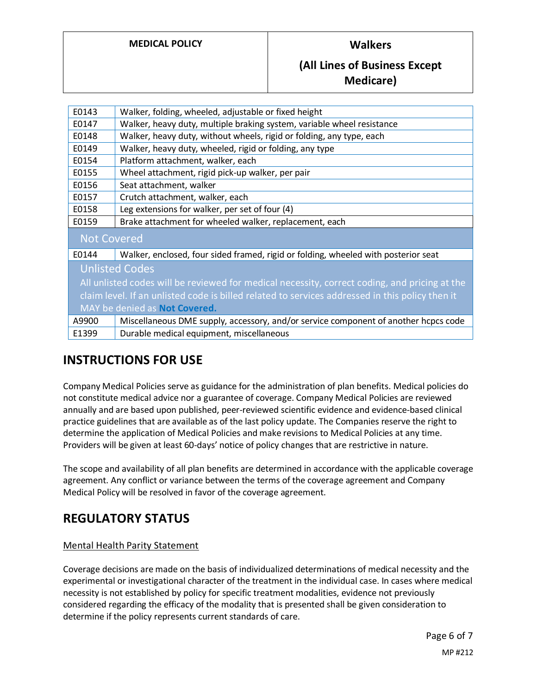### **MEDICAL POLICY Walkers**

### **(All Lines of Business Except Medicare)**

| E0143                                                                                           | Walker, folding, wheeled, adjustable or fixed height                                |
|-------------------------------------------------------------------------------------------------|-------------------------------------------------------------------------------------|
| E0147                                                                                           | Walker, heavy duty, multiple braking system, variable wheel resistance              |
| E0148                                                                                           | Walker, heavy duty, without wheels, rigid or folding, any type, each                |
| E0149                                                                                           | Walker, heavy duty, wheeled, rigid or folding, any type                             |
| E0154                                                                                           | Platform attachment, walker, each                                                   |
| E0155                                                                                           | Wheel attachment, rigid pick-up walker, per pair                                    |
| E0156                                                                                           | Seat attachment, walker                                                             |
| E0157                                                                                           | Crutch attachment, walker, each                                                     |
| E0158                                                                                           | Leg extensions for walker, per set of four (4)                                      |
| E0159                                                                                           | Brake attachment for wheeled walker, replacement, each                              |
| <b>Not Covered</b>                                                                              |                                                                                     |
| E0144                                                                                           | Walker, enclosed, four sided framed, rigid or folding, wheeled with posterior seat  |
| <b>Unlisted Codes</b>                                                                           |                                                                                     |
| All unlisted codes will be reviewed for medical necessity, correct coding, and pricing at the   |                                                                                     |
| claim level. If an unlisted code is billed related to services addressed in this policy then it |                                                                                     |
| MAY be denied as Not Covered.                                                                   |                                                                                     |
| A9900                                                                                           | Miscellaneous DME supply, accessory, and/or service component of another hcpcs code |
| E1399                                                                                           | Durable medical equipment, miscellaneous                                            |

# **INSTRUCTIONS FOR USE**

Company Medical Policies serve as guidance for the administration of plan benefits. Medical policies do not constitute medical advice nor a guarantee of coverage. Company Medical Policies are reviewed annually and are based upon published, peer-reviewed scientific evidence and evidence-based clinical practice guidelines that are available as of the last policy update. The Companies reserve the right to determine the application of Medical Policies and make revisions to Medical Policies at any time. Providers will be given at least 60-days' notice of policy changes that are restrictive in nature.

The scope and availability of all plan benefits are determined in accordance with the applicable coverage agreement. Any conflict or variance between the terms of the coverage agreement and Company Medical Policy will be resolved in favor of the coverage agreement.

# **REGULATORY STATUS**

### Mental Health Parity Statement

Coverage decisions are made on the basis of individualized determinations of medical necessity and the experimental or investigational character of the treatment in the individual case. In cases where medical necessity is not established by policy for specific treatment modalities, evidence not previously considered regarding the efficacy of the modality that is presented shall be given consideration to determine if the policy represents current standards of care.